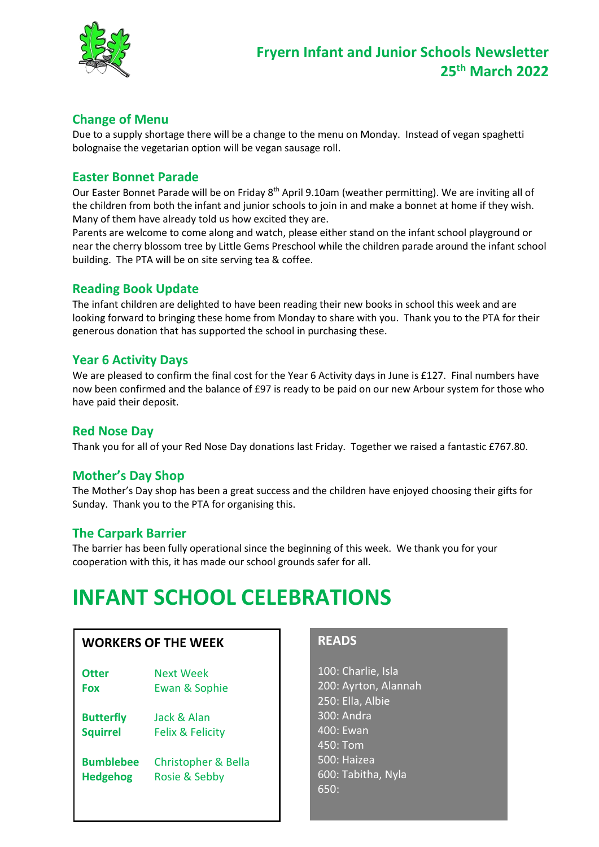

## **Change of Menu**

Due to a supply shortage there will be a change to the menu on Monday. Instead of vegan spaghetti bolognaise the vegetarian option will be vegan sausage roll.

#### **Easter Bonnet Parade**

Our Easter Bonnet Parade will be on Friday 8<sup>th</sup> April 9.10am (weather permitting). We are inviting all of the children from both the infant and junior schools to join in and make a bonnet at home if they wish. Many of them have already told us how excited they are.

Parents are welcome to come along and watch, please either stand on the infant school playground or near the cherry blossom tree by Little Gems Preschool while the children parade around the infant school building. The PTA will be on site serving tea & coffee.

### **Reading Book Update**

The infant children are delighted to have been reading their new books in school this week and are looking forward to bringing these home from Monday to share with you. Thank you to the PTA for their generous donation that has supported the school in purchasing these.

### **Year 6 Activity Days**

We are pleased to confirm the final cost for the Year 6 Activity days in June is £127. Final numbers have now been confirmed and the balance of £97 is ready to be paid on our new Arbour system for those who have paid their deposit.

### **Red Nose Day**

Thank you for all of your Red Nose Day donations last Friday. Together we raised a fantastic £767.80.

### **Mother's Day Shop**

The Mother's Day shop has been a great success and the children have enjoyed choosing their gifts for Sunday. Thank you to the PTA for organising this.

### **The Carpark Barrier**

The barrier has been fully operational since the beginning of this week. We thank you for your cooperation with this, it has made our school grounds safer for all.

# **INFANT SCHOOL CELEBRATIONS**

#### **WORKERS OF THE WEEK**

| Otter            | <b>Next Week</b>            |
|------------------|-----------------------------|
| Fox              | Ewan & Sophie               |
| <b>Butterfly</b> | Jack & Alan                 |
| <b>Squirrel</b>  | <b>Felix &amp; Felicity</b> |

**Bumblebee** Christopher & Bella **Hedgehog** Rosie & Sebby

#### **READS**

100: Charlie, Isla 200: Ayrton, Alannah 250: Ella, Albie 300: Andra 400: Ewan 450: Tom 500: Haizea 600: Tabitha, Nyla 650: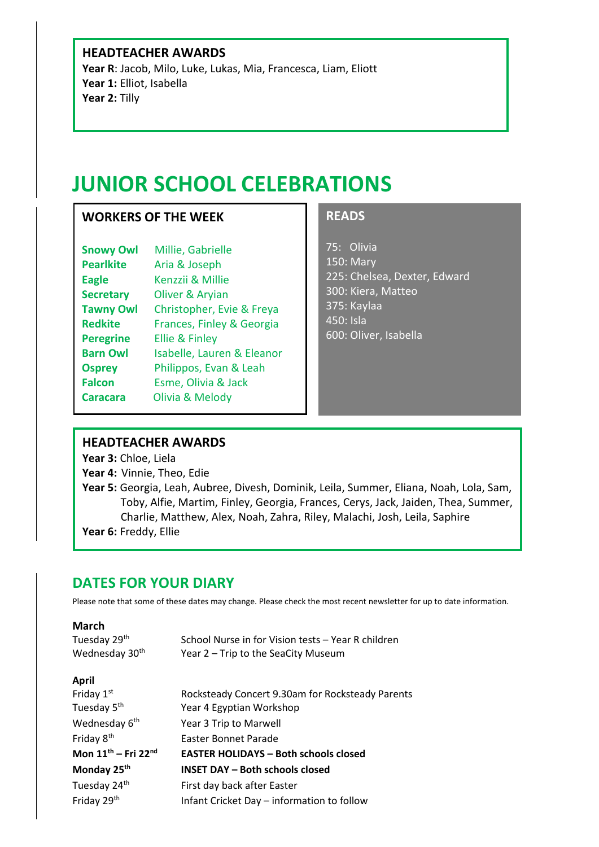#### **HEADTEACHER AWARDS**

**Year R**: Jacob, Milo, Luke, Lukas, Mia, Francesca, Liam, Eliott **Year 1:** Elliot, Isabella **Year 2:** Tilly

# **JUNIOR SCHOOL CELEBRATIONS**

### **WORKERS OF THE WEEK**

| Isabelle, Lauren & Eleanor |
|----------------------------|
|                            |
|                            |
|                            |
|                            |

### **READS**

75: Olivia 150: Mary 225: Chelsea, Dexter, Edward 300: Kiera, Matteo 375: Kaylaa 450: Isla 600: Oliver, Isabella

#### **HEADTEACHER AWARDS**

**Year 3:** Chloe, Liela

- **Year 4:** Vinnie, Theo, Edie
- **Year 5:** Georgia, Leah, Aubree, Divesh, Dominik, Leila, Summer, Eliana, Noah, Lola, Sam, Toby, Alfie, Martim, Finley, Georgia, Frances, Cerys, Jack, Jaiden, Thea, Summer, Charlie, Matthew, Alex, Noah, Zahra, Riley, Malachi, Josh, Leila, Saphire **Year 6:** Freddy, Ellie

## **DATES FOR YOUR DIARY**

Please note that some of these dates may change. Please check the most recent newsletter for up to date information.

#### **March**

| Tuesday 29 <sup>th</sup>   | School Nurse in for Vision tests - Year R children |
|----------------------------|----------------------------------------------------|
| Wednesday 30 <sup>th</sup> | Year 2 - Trip to the SeaCity Museum                |

#### **April**

| Friday 1st                                  | Rocksteady Concert 9.30am for Rocksteady Parents |
|---------------------------------------------|--------------------------------------------------|
| Tuesday 5 <sup>th</sup>                     | Year 4 Egyptian Workshop                         |
| Wednesday 6 <sup>th</sup>                   | Year 3 Trip to Marwell                           |
| Friday 8 <sup>th</sup>                      | Easter Bonnet Parade                             |
| Mon 11 <sup>th</sup> - Fri 22 <sup>nd</sup> | <b>EASTER HOLIDAYS - Both schools closed</b>     |
| Monday 25 <sup>th</sup>                     | <b>INSET DAY - Both schools closed</b>           |
| Tuesday 24th                                | First day back after Easter                      |
| Friday 29th                                 | Infant Cricket Day - information to follow       |